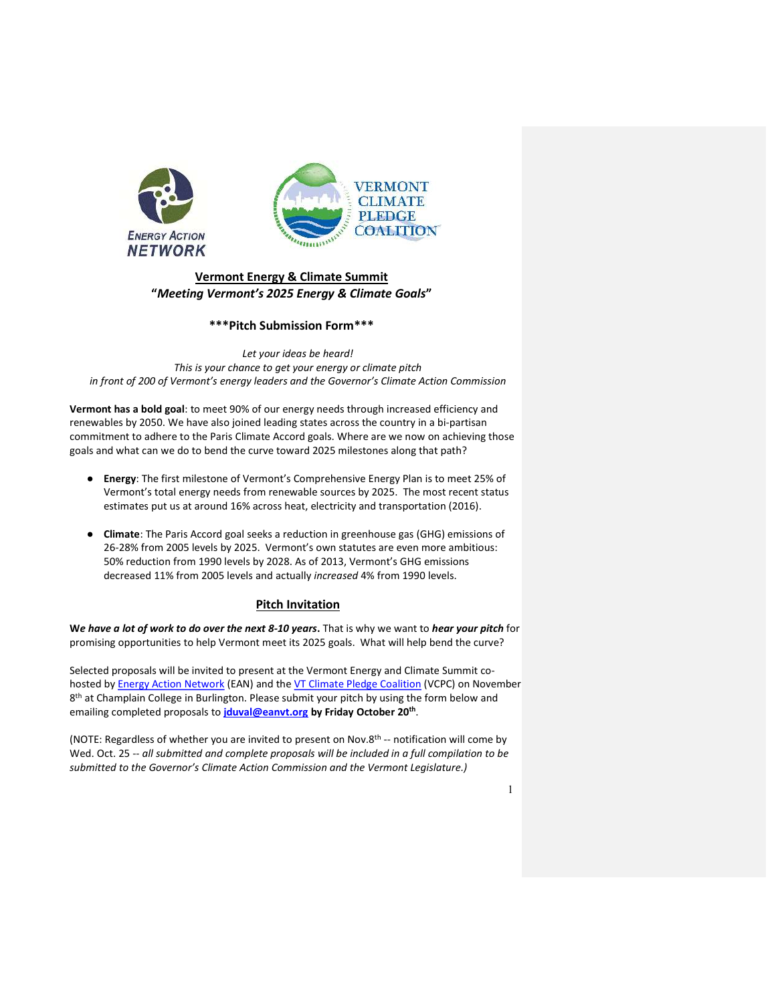

# Vermont Energy & Climate Summit "Meeting Vermont's 2025 Energy & Climate Goals"

## \*\*\*Pitch Submission Form\*\*\*

Let your ideas be heard! This is your chance to get your energy or climate pitch in front of 200 of Vermont's energy leaders and the Governor's Climate Action Commission

Vermont has a bold goal: to meet 90% of our energy needs through increased efficiency and renewables by 2050. We have also joined leading states across the country in a bi-partisan commitment to adhere to the Paris Climate Accord goals. Where are we now on achieving those goals and what can we do to bend the curve toward 2025 milestones along that path?

- Energy: The first milestone of Vermont's Comprehensive Energy Plan is to meet 25% of Vermont's total energy needs from renewable sources by 2025. The most recent status estimates put us at around 16% across heat, electricity and transportation (2016).
- Climate: The Paris Accord goal seeks a reduction in greenhouse gas (GHG) emissions of 26-28% from 2005 levels by 2025. Vermont's own statutes are even more ambitious: 50% reduction from 1990 levels by 2028. As of 2013, Vermont's GHG emissions decreased 11% from 2005 levels and actually increased 4% from 1990 levels.

## Pitch Invitation

We have a lot of work to do over the next 8-10 years. That is why we want to hear your pitch for promising opportunities to help Vermont meet its 2025 goals. What will help bend the curve?

Selected proposals will be invited to present at the Vermont Energy and Climate Summit cohosted by **Energy Action Network (EAN) and the VT Climate Pledge Coalition (VCPC)** on November 8<sup>th</sup> at Champlain College in Burlington. Please submit your pitch by using the form below and emailing completed proposals to *jduval@eanvt.org* by Friday October 20<sup>th</sup>.

(NOTE: Regardless of whether you are invited to present on Nov.8th -- notification will come by Wed. Oct. 25 -- all submitted and complete proposals will be included in a full compilation to be submitted to the Governor's Climate Action Commission and the Vermont Legislature.)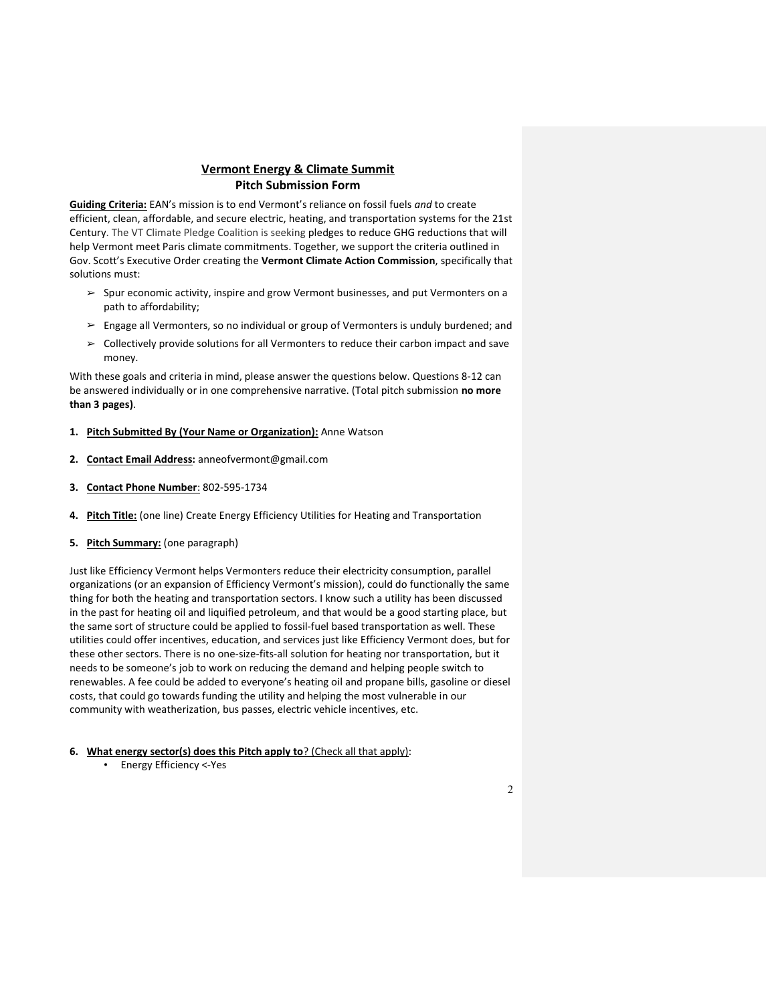## Vermont Energy & Climate Summit Pitch Submission Form

Guiding Criteria: EAN's mission is to end Vermont's reliance on fossil fuels and to create efficient, clean, affordable, and secure electric, heating, and transportation systems for the 21st Century. The VT Climate Pledge Coalition is seeking pledges to reduce GHG reductions that will help Vermont meet Paris climate commitments. Together, we support the criteria outlined in Gov. Scott's Executive Order creating the Vermont Climate Action Commission, specifically that solutions must:

- $\geq$  Spur economic activity, inspire and grow Vermont businesses, and put Vermonters on a path to affordability;
- $\geq$  Engage all Vermonters, so no individual or group of Vermonters is unduly burdened; and
- $\triangleright$  Collectively provide solutions for all Vermonters to reduce their carbon impact and save money.

With these goals and criteria in mind, please answer the questions below. Questions 8-12 can be answered individually or in one comprehensive narrative. (Total pitch submission no more than 3 pages).

- 1. Pitch Submitted By (Your Name or Organization): Anne Watson
- 2. Contact Email Address: anneofvermont@gmail.com
- 3. Contact Phone Number: 802-595-1734
- 4. Pitch Title: (one line) Create Energy Efficiency Utilities for Heating and Transportation
- 5. Pitch Summary: (one paragraph)

Just like Efficiency Vermont helps Vermonters reduce their electricity consumption, parallel organizations (or an expansion of Efficiency Vermont's mission), could do functionally the same thing for both the heating and transportation sectors. I know such a utility has been discussed in the past for heating oil and liquified petroleum, and that would be a good starting place, but the same sort of structure could be applied to fossil-fuel based transportation as well. These utilities could offer incentives, education, and services just like Efficiency Vermont does, but for these other sectors. There is no one-size-fits-all solution for heating nor transportation, but it needs to be someone's job to work on reducing the demand and helping people switch to renewables. A fee could be added to everyone's heating oil and propane bills, gasoline or diesel costs, that could go towards funding the utility and helping the most vulnerable in our community with weatherization, bus passes, electric vehicle incentives, etc.

- 6. What energy sector(s) does this Pitch apply to? (Check all that apply):
	- Energy Efficiency <-Yes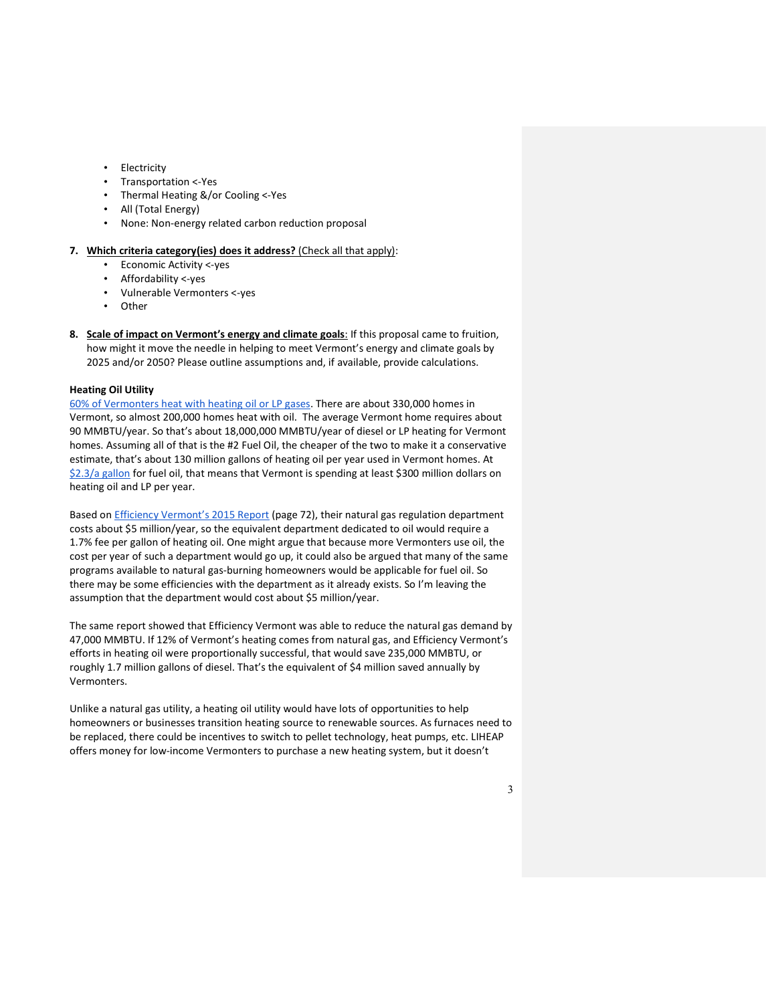- Electricity
- Transportation <-Yes
- Thermal Heating &/or Cooling <-Yes
- All (Total Energy)
- None: Non-energy related carbon reduction proposal

#### 7. Which criteria category(ies) does it address? (Check all that apply):

- Economic Activity <-yes
- Affordability <-yes
- Vulnerable Vermonters <-yes
- Other
- 8. Scale of impact on Vermont's energy and climate goals: If this proposal came to fruition, how might it move the needle in helping to meet Vermont's energy and climate goals by 2025 and/or 2050? Please outline assumptions and, if available, provide calculations.

#### Heating Oil Utility

60% of Vermonters heat with heating oil or LP gases. There are about 330,000 homes in Vermont, so almost 200,000 homes heat with oil. The average Vermont home requires about 90 MMBTU/year. So that's about 18,000,000 MMBTU/year of diesel or LP heating for Vermont homes. Assuming all of that is the #2 Fuel Oil, the cheaper of the two to make it a conservative estimate, that's about 130 million gallons of heating oil per year used in Vermont homes. At \$2.3/a gallon for fuel oil, that means that Vermont is spending at least \$300 million dollars on heating oil and LP per year.

Based on Efficiency Vermont's 2015 Report (page 72), their natural gas regulation department costs about \$5 million/year, so the equivalent department dedicated to oil would require a 1.7% fee per gallon of heating oil. One might argue that because more Vermonters use oil, the cost per year of such a department would go up, it could also be argued that many of the same programs available to natural gas-burning homeowners would be applicable for fuel oil. So there may be some efficiencies with the department as it already exists. So I'm leaving the assumption that the department would cost about \$5 million/year.

The same report showed that Efficiency Vermont was able to reduce the natural gas demand by 47,000 MMBTU. If 12% of Vermont's heating comes from natural gas, and Efficiency Vermont's efforts in heating oil were proportionally successful, that would save 235,000 MMBTU, or roughly 1.7 million gallons of diesel. That's the equivalent of \$4 million saved annually by Vermonters.

Unlike a natural gas utility, a heating oil utility would have lots of opportunities to help homeowners or businesses transition heating source to renewable sources. As furnaces need to be replaced, there could be incentives to switch to pellet technology, heat pumps, etc. LIHEAP offers money for low-income Vermonters to purchase a new heating system, but it doesn't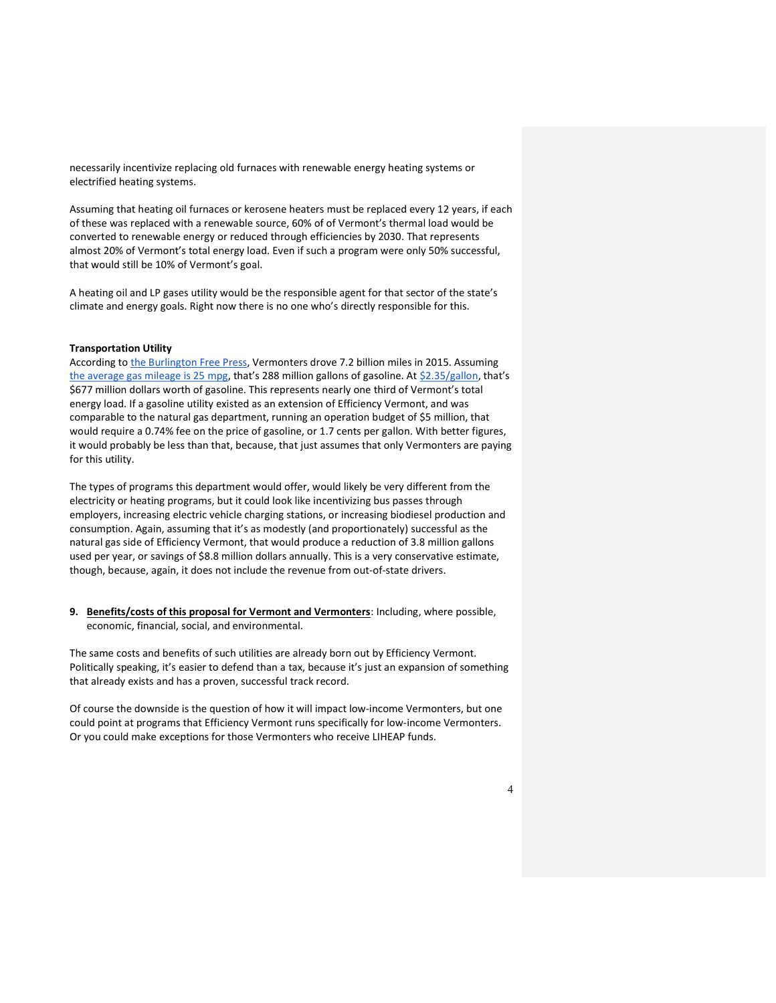necessarily incentivize replacing old furnaces with renewable energy heating systems or electrified heating systems.

Assuming that heating oil furnaces or kerosene heaters must be replaced every 12 years, if each of these was replaced with a renewable source, 60% of of Vermont's thermal load would be converted to renewable energy or reduced through efficiencies by 2030. That represents almost 20% of Vermont's total energy load. Even if such a program were only 50% successful, that would still be 10% of Vermont's goal.

A heating oil and LP gases utility would be the responsible agent for that sector of the state's climate and energy goals. Right now there is no one who's directly responsible for this.

#### Transportation Utility

According to the Burlington Free Press, Vermonters drove 7.2 billion miles in 2015. Assuming the average gas mileage is 25 mpg, that's 288 million gallons of gasoline. At \$2.35/gallon, that's \$677 million dollars worth of gasoline. This represents nearly one third of Vermont's total energy load. If a gasoline utility existed as an extension of Efficiency Vermont, and was comparable to the natural gas department, running an operation budget of \$5 million, that would require a 0.74% fee on the price of gasoline, or 1.7 cents per gallon. With better figures, it would probably be less than that, because, that just assumes that only Vermonters are paying for this utility.

The types of programs this department would offer, would likely be very different from the electricity or heating programs, but it could look like incentivizing bus passes through employers, increasing electric vehicle charging stations, or increasing biodiesel production and consumption. Again, assuming that it's as modestly (and proportionately) successful as the natural gas side of Efficiency Vermont, that would produce a reduction of 3.8 million gallons used per year, or savings of \$8.8 million dollars annually. This is a very conservative estimate, though, because, again, it does not include the revenue from out-of-state drivers.

9. Benefits/costs of this proposal for Vermont and Vermonters: Including, where possible, economic, financial, social, and environmental.

The same costs and benefits of such utilities are already born out by Efficiency Vermont. Politically speaking, it's easier to defend than a tax, because it's just an expansion of something that already exists and has a proven, successful track record.

Of course the downside is the question of how it will impact low-income Vermonters, but one could point at programs that Efficiency Vermont runs specifically for low-income Vermonters. Or you could make exceptions for those Vermonters who receive LIHEAP funds.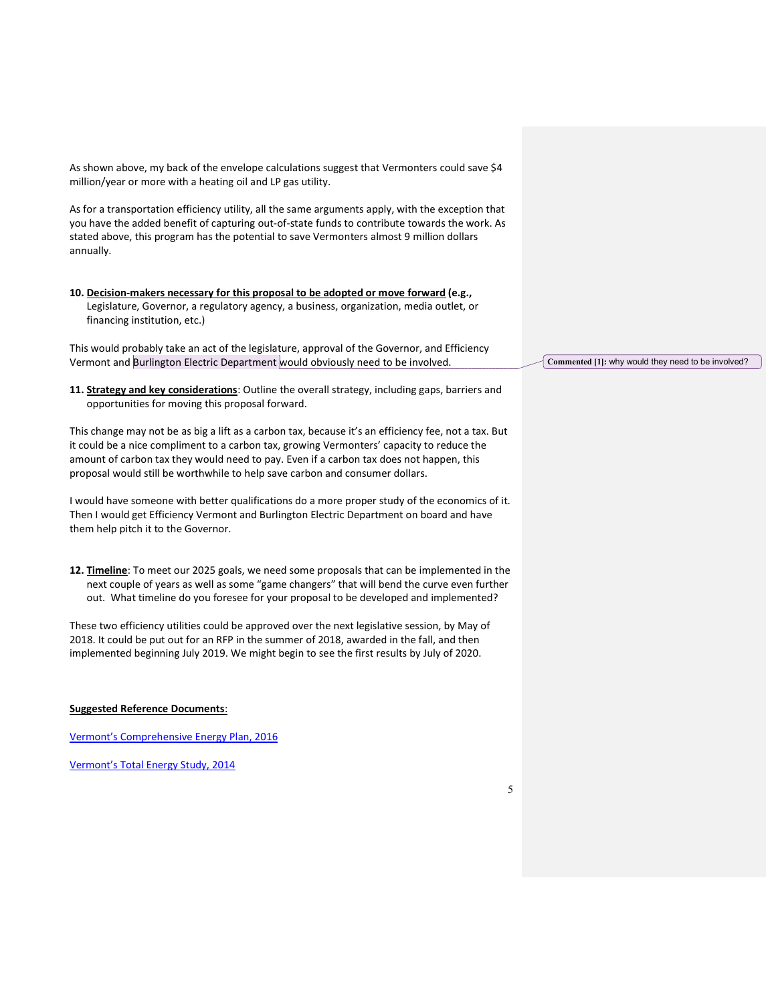As shown above, my back of the envelope calculations suggest that Vermonters could save \$4 million/year or more with a heating oil and LP gas utility.

As for a transportation efficiency utility, all the same arguments apply, with the exception that you have the added benefit of capturing out-of-state funds to contribute towards the work. As stated above, this program has the potential to save Vermonters almost 9 million dollars annually.

10. Decision-makers necessary for this proposal to be adopted or move forward (e.g., Legislature, Governor, a regulatory agency, a business, organization, media outlet, or financing institution, etc.)

This would probably take an act of the legislature, approval of the Governor, and Efficiency Vermont and Burlington Electric Department would obviously need to be involved.

11. Strategy and key considerations: Outline the overall strategy, including gaps, barriers and opportunities for moving this proposal forward.

This change may not be as big a lift as a carbon tax, because it's an efficiency fee, not a tax. But it could be a nice compliment to a carbon tax, growing Vermonters' capacity to reduce the amount of carbon tax they would need to pay. Even if a carbon tax does not happen, this proposal would still be worthwhile to help save carbon and consumer dollars.

I would have someone with better qualifications do a more proper study of the economics of it. Then I would get Efficiency Vermont and Burlington Electric Department on board and have them help pitch it to the Governor.

12. Timeline: To meet our 2025 goals, we need some proposals that can be implemented in the next couple of years as well as some "game changers" that will bend the curve even further out. What timeline do you foresee for your proposal to be developed and implemented?

These two efficiency utilities could be approved over the next legislative session, by May of 2018. It could be put out for an RFP in the summer of 2018, awarded in the fall, and then implemented beginning July 2019. We might begin to see the first results by July of 2020.

### Suggested Reference Documents:

Vermont's Comprehensive Energy Plan, 2016

Vermont's Total Energy Study, 2014

Commented [1]: why would they need to be involved?